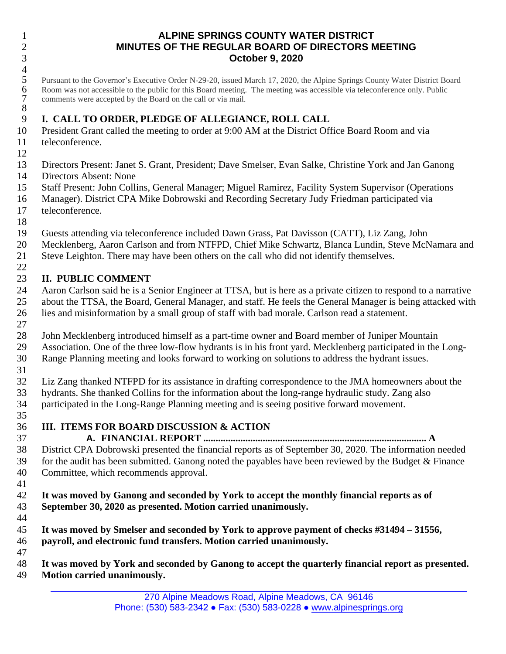#### **ALPINE SPRINGS COUNTY WATER DISTRICT MINUTES OF THE REGULAR BOARD OF DIRECTORS MEETING October 9, 2020**

 $\frac{4}{5}$ 5 Pursuant to the Governor's Executive Order N-29-20, issued March 17, 2020, the Alpine Springs County Water District Board<br>6 Room was not accessible to the public for this Board meeting. The meeting was accessible via tel 6 Room was not accessible to the public for this Board meeting. The meeting was accessible via teleconference only. Public comments were accepted by the Board on the call or via mail. comments were accepted by the Board on the call or via mail. 

### **I. CALL TO ORDER, PLEDGE OF ALLEGIANCE, ROLL CALL**

 President Grant called the meeting to order at 9:00 AM at the District Office Board Room and via teleconference.

- Directors Present: Janet S. Grant, President; Dave Smelser*,* Evan Salke, Christine York and Jan Ganong Directors Absent: None
- Staff Present: John Collins, General Manager; Miguel Ramirez, Facility System Supervisor (Operations
- Manager). District CPA Mike Dobrowski and Recording Secretary Judy Friedman participated via teleconference.
- 
- Guests attending via teleconference included Dawn Grass, Pat Davisson (CATT), Liz Zang, John
- Mecklenberg, Aaron Carlson and from NTFPD, Chief Mike Schwartz, Blanca Lundin, Steve McNamara and
- Steve Leighton. There may have been others on the call who did not identify themselves.

### **II. PUBLIC COMMENT**

- Aaron Carlson said he is a Senior Engineer at TTSA, but is here as a private citizen to respond to a narrative about the TTSA, the Board, General Manager, and staff. He feels the General Manager is being attacked with lies and misinformation by a small group of staff with bad morale. Carlson read a statement.
- John Mecklenberg introduced himself as a part-time owner and Board member of Juniper Mountain Association. One of the three low-flow hydrants is in his front yard. Mecklenberg participated in the Long-Range Planning meeting and looks forward to working on solutions to address the hydrant issues.
- 

 Liz Zang thanked NTFPD for its assistance in drafting correspondence to the JMA homeowners about the hydrants. She thanked Collins for the information about the long-range hydraulic study. Zang also participated in the Long-Range Planning meeting and is seeing positive forward movement.

# **III. ITEMS FOR BOARD DISCUSSION & ACTION**

 **A. FINANCIAL REPORT .......................................................................................... A** District CPA Dobrowski presented the financial reports as of September 30, 2020. The information needed for the audit has been submitted. Ganong noted the payables have been reviewed by the Budget & Finance Committee, which recommends approval.

- **It was moved by Ganong and seconded by York to accept the monthly financial reports as of September 30, 2020 as presented. Motion carried unanimously.**
- 

- **It was moved by Smelser and seconded by York to approve payment of checks #31494 – 31556, payroll, and electronic fund transfers. Motion carried unanimously.**
- 
- **It was moved by York and seconded by Ganong to accept the quarterly financial report as presented. Motion carried unanimously.**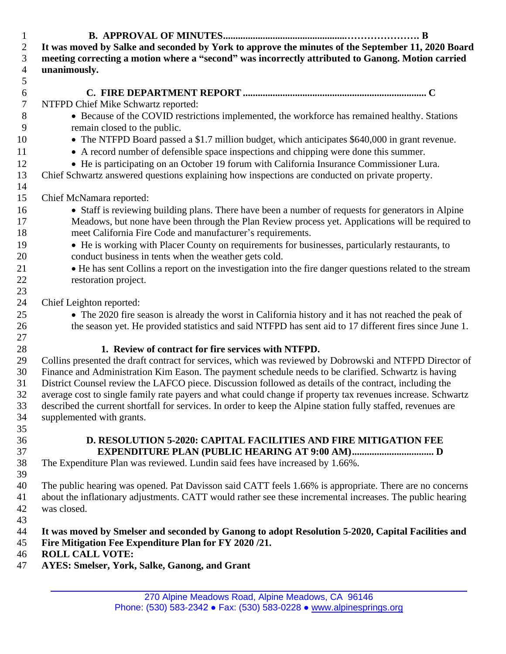**B. APPROVAL OF MINUTES..................................................…………………. B** 2 It was moved by Salke and seconded by York to approve the minutes of the September 11, 2020 Board **meeting correcting a motion where a "second" was incorrectly attributed to Ganong. Motion carried unanimously. C. FIRE DEPARTMENT REPORT .......................................................................... C** NTFPD Chief Mike Schwartz reported: 8 • Because of the COVID restrictions implemented, the workforce has remained healthy. Stations remain closed to the public. 10 • The NTFPD Board passed a \$1.7 million budget, which anticipates \$640,000 in grant revenue. 11 • A record number of defensible space inspections and chipping were done this summer. • He is participating on an October 19 forum with California Insurance Commissioner Lura. Chief Schwartz answered questions explaining how inspections are conducted on private property. Chief McNamara reported: • Staff is reviewing building plans. There have been a number of requests for generators in Alpine Meadows, but none have been through the Plan Review process yet. Applications will be required to meet California Fire Code and manufacturer's requirements. • He is working with Placer County on requirements for businesses, particularly restaurants, to conduct business in tents when the weather gets cold. <sup>21</sup> • He has sent Collins a report on the investigation into the fire danger questions related to the stream restoration project. Chief Leighton reported: • The 2020 fire season is already the worst in California history and it has not reached the peak of 26 the season yet. He provided statistics and said NTFPD has sent aid to 17 different fires since June 1. **1. Review of contract for fire services with NTFPD.** Collins presented the draft contract for services, which was reviewed by Dobrowski and NTFPD Director of Finance and Administration Kim Eason. The payment schedule needs to be clarified. Schwartz is having District Counsel review the LAFCO piece. Discussion followed as details of the contract, including the average cost to single family rate payers and what could change if property tax revenues increase. Schwartz described the current shortfall for services. In order to keep the Alpine station fully staffed, revenues are supplemented with grants. **D. RESOLUTION 5-2020: CAPITAL FACILITIES AND FIRE MITIGATION FEE EXPENDITURE PLAN (PUBLIC HEARING AT 9:00 AM)................................. D** The Expenditure Plan was reviewed. Lundin said fees have increased by 1.66%. The public hearing was opened. Pat Davisson said CATT feels 1.66% is appropriate. There are no concerns about the inflationary adjustments. CATT would rather see these incremental increases. The public hearing was closed. **It was moved by Smelser and seconded by Ganong to adopt Resolution 5-2020, Capital Facilities and Fire Mitigation Fee Expenditure Plan for FY 2020 /21. ROLL CALL VOTE: AYES: Smelser, York, Salke, Ganong, and Grant**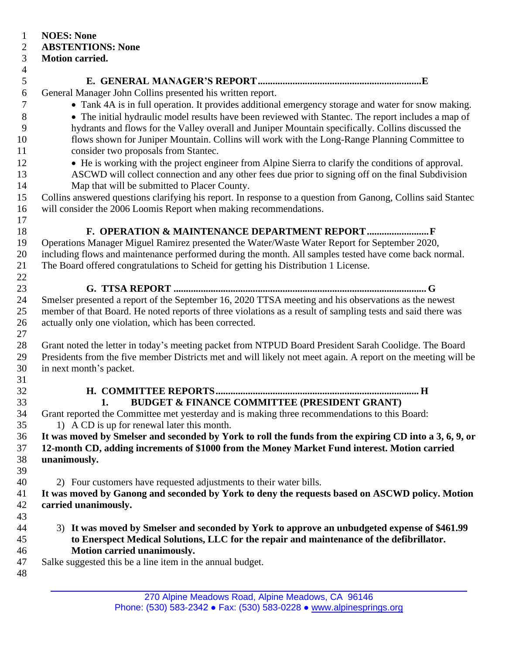- **NOES: None**
- **ABSTENTIONS: None**

## **Motion carried.**

- 
- **E. GENERAL MANAGER'S REPORT..................................................................E**
- General Manager John Collins presented his written report.
- Tank 4A is in full operation. It provides additional emergency storage and water for snow making.
- The initial hydraulic model results have been reviewed with Stantec. The report includes a map of hydrants and flows for the Valley overall and Juniper Mountain specifically. Collins discussed the flows shown for Juniper Mountain. Collins will work with the Long-Range Planning Committee to consider two proposals from Stantec.
- He is working with the project engineer from Alpine Sierra to clarify the conditions of approval.
- ASCWD will collect connection and any other fees due prior to signing off on the final Subdivision Map that will be submitted to Placer County.
- Collins answered questions clarifying his report. In response to a question from Ganong, Collins said Stantec will consider the 2006 Loomis Report when making recommendations.
- **F. OPERATION & MAINTENANCE DEPARTMENT REPORT.........................F**

 Operations Manager Miguel Ramirez presented the Water/Waste Water Report for September 2020, including flows and maintenance performed during the month. All samples tested have come back normal. The Board offered congratulations to Scheid for getting his Distribution 1 License. 

**G. TTSA REPORT ...................................................................................................... G**

 Smelser presented a report of the September 16, 2020 TTSA meeting and his observations as the newest member of that Board. He noted reports of three violations as a result of sampling tests and said there was actually only one violation, which has been corrected.

 Grant noted the letter in today's meeting packet from NTPUD Board President Sarah Coolidge. The Board Presidents from the five member Districts met and will likely not meet again. A report on the meeting will be in next month's packet.

- 
- **H. COMMITTEE REPORTS.................................................................................. H 1. BUDGET & FINANCE COMMITTEE (PRESIDENT GRANT)**
- Grant reported the Committee met yesterday and is making three recommendations to this Board: 35 1) A CD is up for renewal later this month.

36 It was moved by Smelser and seconded by York to roll the funds from the expiring CD into a 3, 6, 9, or **12-month CD, adding increments of \$1000 from the Money Market Fund interest. Motion carried unanimously.** 

2) Four customers have requested adjustments to their water bills.

 **It was moved by Ganong and seconded by York to deny the requests based on ASCWD policy. Motion carried unanimously.**

- 
- 3) **It was moved by Smelser and seconded by York to approve an unbudgeted expense of \$461.99 to Enerspect Medical Solutions, LLC for the repair and maintenance of the defibrillator. Motion carried unanimously.**
- Salke suggested this be a line item in the annual budget.
-